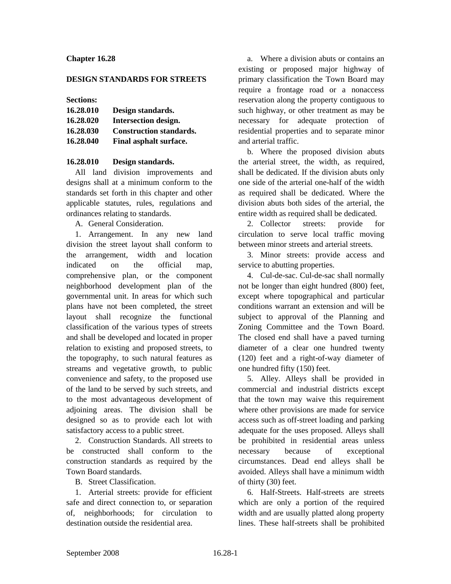## **Chapter 16.28**

### **DESIGN STANDARDS FOR STREETS**

#### **Sections:**

| 16.28.010 | Design standards.              |
|-----------|--------------------------------|
| 16.28.020 | Intersection design.           |
| 16.28.030 | <b>Construction standards.</b> |
| 16.28.040 | Final asphalt surface.         |

### **16.28.010 Design standards.**

All land division improvements and designs shall at a minimum conform to the standards set forth in this chapter and other applicable statutes, rules, regulations and ordinances relating to standards.

A. General Consideration.

1. Arrangement. In any new land division the street layout shall conform to the arrangement, width and location indicated on the official map, comprehensive plan, or the component neighborhood development plan of the governmental unit. In areas for which such plans have not been completed, the street layout shall recognize the functional classification of the various types of streets and shall be developed and located in proper relation to existing and proposed streets, to the topography, to such natural features as streams and vegetative growth, to public convenience and safety, to the proposed use of the land to be served by such streets, and to the most advantageous development of adjoining areas. The division shall be designed so as to provide each lot with satisfactory access to a public street.

2. Construction Standards. All streets to be constructed shall conform to the construction standards as required by the Town Board standards.

B. Street Classification.

1. Arterial streets: provide for efficient safe and direct connection to, or separation of, neighborhoods; for circulation to destination outside the residential area.

a. Where a division abuts or contains an existing or proposed major highway of primary classification the Town Board may require a frontage road or a nonaccess reservation along the property contiguous to such highway, or other treatment as may be necessary for adequate protection of residential properties and to separate minor and arterial traffic.

b. Where the proposed division abuts the arterial street, the width, as required, shall be dedicated. If the division abuts only one side of the arterial one-half of the width as required shall be dedicated. Where the division abuts both sides of the arterial, the entire width as required shall be dedicated.

2. Collector streets: provide for circulation to serve local traffic moving between minor streets and arterial streets.

3. Minor streets: provide access and service to abutting properties.

4. Cul-de-sac. Cul-de-sac shall normally not be longer than eight hundred (800) feet, except where topographical and particular conditions warrant an extension and will be subject to approval of the Planning and Zoning Committee and the Town Board. The closed end shall have a paved turning diameter of a clear one hundred twenty (120) feet and a right-of-way diameter of one hundred fifty (150) feet.

5. Alley. Alleys shall be provided in commercial and industrial districts except that the town may waive this requirement where other provisions are made for service access such as off-street loading and parking adequate for the uses proposed. Alleys shall be prohibited in residential areas unless necessary because of exceptional circumstances. Dead end alleys shall be avoided. Alleys shall have a minimum width of thirty (30) feet.

6. Half-Streets. Half-streets are streets which are only a portion of the required width and are usually platted along property lines. These half-streets shall be prohibited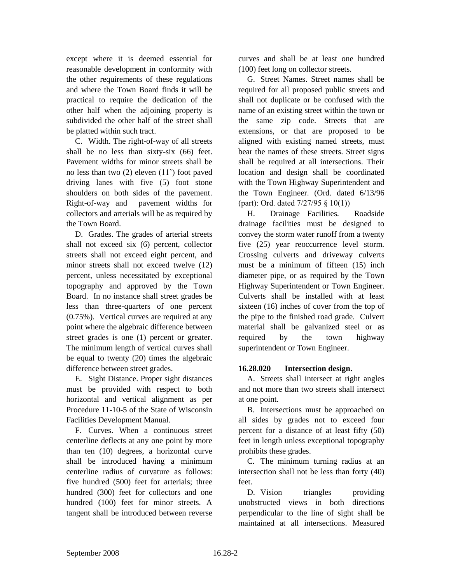except where it is deemed essential for reasonable development in conformity with the other requirements of these regulations and where the Town Board finds it will be practical to require the dedication of the other half when the adjoining property is subdivided the other half of the street shall be platted within such tract.

C. Width. The right-of-way of all streets shall be no less than sixty-six (66) feet. Pavement widths for minor streets shall be no less than two (2) eleven (11') foot paved driving lanes with five (5) foot stone shoulders on both sides of the pavement. Right-of-way and pavement widths for collectors and arterials will be as required by the Town Board.

D. Grades. The grades of arterial streets shall not exceed six (6) percent, collector streets shall not exceed eight percent, and minor streets shall not exceed twelve (12) percent, unless necessitated by exceptional topography and approved by the Town Board. In no instance shall street grades be less than three-quarters of one percent (0.75%). Vertical curves are required at any point where the algebraic difference between street grades is one (1) percent or greater. The minimum length of vertical curves shall be equal to twenty (20) times the algebraic difference between street grades.

E. Sight Distance. Proper sight distances must be provided with respect to both horizontal and vertical alignment as per Procedure 11-10-5 of the State of Wisconsin Facilities Development Manual.

F. Curves. When a continuous street centerline deflects at any one point by more than ten (10) degrees, a horizontal curve shall be introduced having a minimum centerline radius of curvature as follows: five hundred (500) feet for arterials; three hundred (300) feet for collectors and one hundred (100) feet for minor streets. A tangent shall be introduced between reverse

curves and shall be at least one hundred (100) feet long on collector streets.

G. Street Names. Street names shall be required for all proposed public streets and shall not duplicate or be confused with the name of an existing street within the town or the same zip code. Streets that are extensions, or that are proposed to be aligned with existing named streets, must bear the names of these streets. Street signs shall be required at all intersections. Their location and design shall be coordinated with the Town Highway Superintendent and the Town Engineer. (Ord. dated 6/13/96 (part): Ord. dated 7/27/95 § 10(1))

H. Drainage Facilities. Roadside drainage facilities must be designed to convey the storm water runoff from a twenty five (25) year reoccurrence level storm. Crossing culverts and driveway culverts must be a minimum of fifteen (15) inch diameter pipe, or as required by the Town Highway Superintendent or Town Engineer. Culverts shall be installed with at least sixteen (16) inches of cover from the top of the pipe to the finished road grade. Culvert material shall be galvanized steel or as required by the town highway superintendent or Town Engineer.

# **16.28.020 Intersection design.**

A. Streets shall intersect at right angles and not more than two streets shall intersect at one point.

B. Intersections must be approached on all sides by grades not to exceed four percent for a distance of at least fifty (50) feet in length unless exceptional topography prohibits these grades.

C. The minimum turning radius at an intersection shall not be less than forty (40) feet.

D. Vision triangles providing unobstructed views in both directions perpendicular to the line of sight shall be maintained at all intersections. Measured